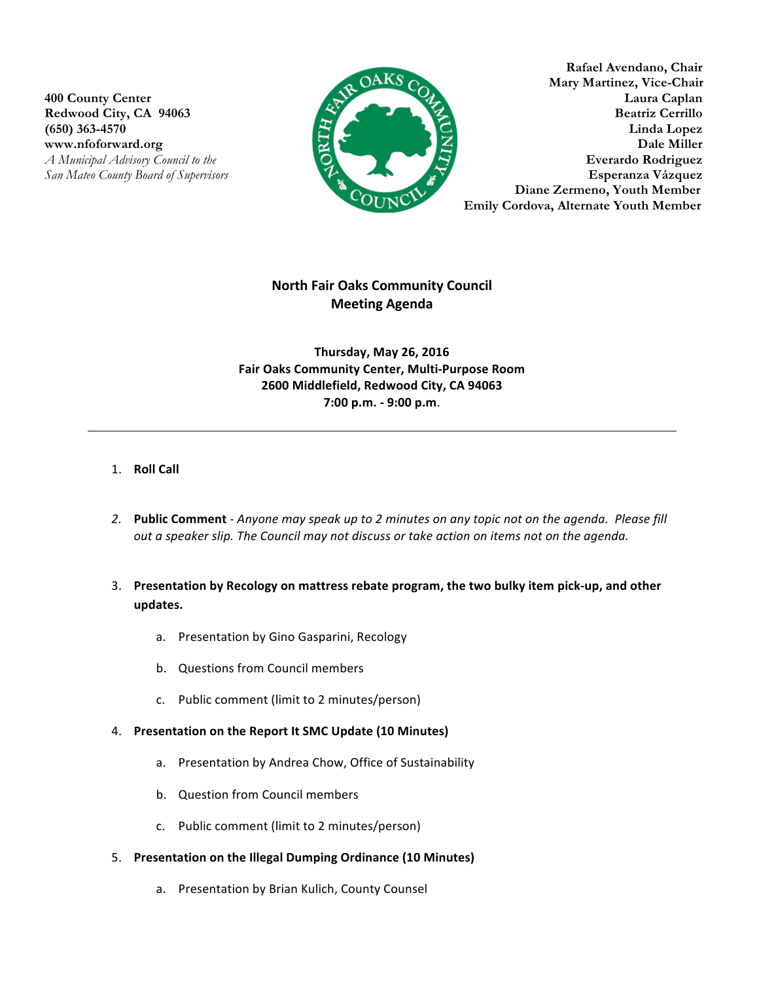

**Rafael Avendano, Chair Mary Martinez, Vice-Chair 400 County Center Laura Caplan** Redwood City, CA 94063 Beatriz Cerrillo **(650) 363-4570 Linda Lopez EXECUTE: Dale Miller Dale Miller** *A Municipal Advisory Council to the* **Everardo Rodriguez Everardo Rodriguez** *San Mateo County Board of Supervisors* **Esperanza Vázquez** **Diane Zermeno, Youth Member Emily Cordova, Alternate Youth Member** 

# **North Fair Oaks Community Council Meeting Agenda**

**Thursday, May 26, 2016 Fair Oaks Community Center, Multi-Purpose Room 2600 Middlefield, Redwood City, CA 94063 7:00 p.m. - 9:00 p.m**.

## 1. **Roll Call**

- 2. Public Comment Anyone may speak up to 2 minutes on any topic not on the agenda. Please fill *out a speaker slip. The Council may not discuss or take action on items not on the agenda.*
- 3. Presentation by Recology on mattress rebate program, the two bulky item pick-up, and other **updates.**
	- a. Presentation by Gino Gasparini, Recology
	- b. Questions from Council members
	- c. Public comment (limit to 2 minutes/person)

#### 4. Presentation on the Report It SMC Update (10 Minutes)

- a. Presentation by Andrea Chow, Office of Sustainability
- b. Question from Council members
- c. Public comment (limit to 2 minutes/person)
- 5. Presentation on the Illegal Dumping Ordinance (10 Minutes)
	- a. Presentation by Brian Kulich, County Counsel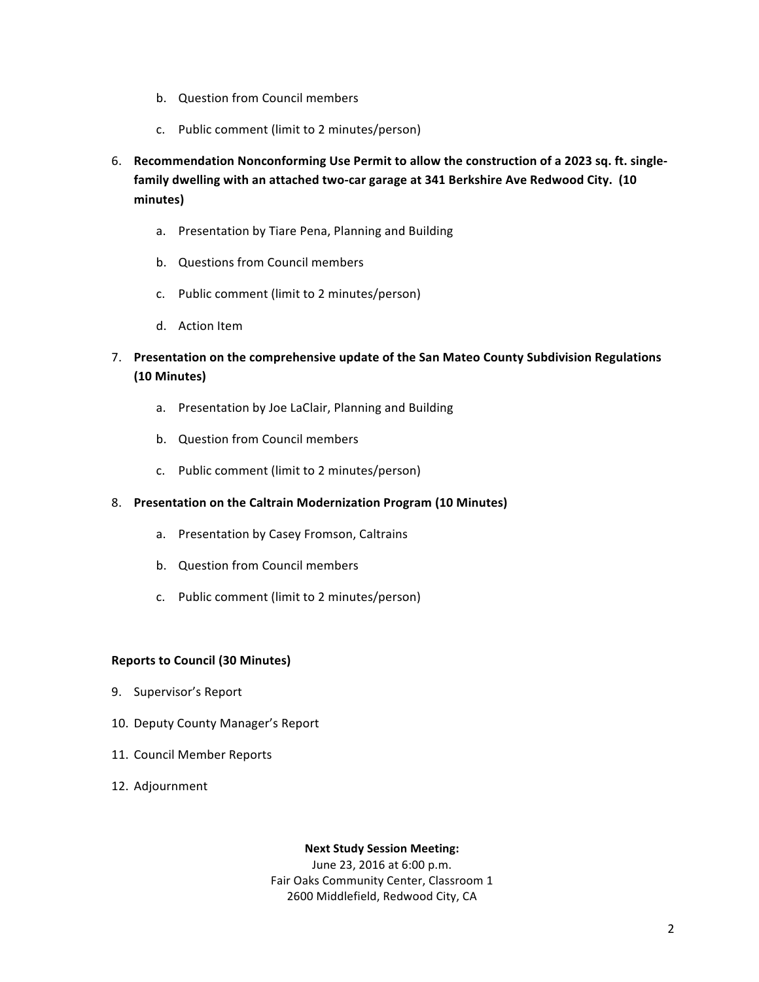- b. Question from Council members
- c. Public comment (limit to 2 minutes/person)
- 6. Recommendation Nonconforming Use Permit to allow the construction of a 2023 sq. ft. singlefamily dwelling with an attached two-car garage at 341 Berkshire Ave Redwood City. (10 **minutes)**
	- a. Presentation by Tiare Pena, Planning and Building
	- b. Questions from Council members
	- c. Public comment (limit to 2 minutes/person)
	- d. Action Item
- 7. Presentation on the comprehensive update of the San Mateo County Subdivision Regulations **(10 Minutes)**
	- a. Presentation by Joe LaClair, Planning and Building
	- b. Question from Council members
	- c. Public comment (limit to 2 minutes/person)

### 8. Presentation on the Caltrain Modernization Program (10 Minutes)

- a. Presentation by Casey Fromson, Caltrains
- b. Question from Council members
- c. Public comment (limit to 2 minutes/person)

### **Reports to Council (30 Minutes)**

- 9. Supervisor's Report
- 10. Deputy County Manager's Report
- 11. Council Member Reports
- 12. Adjournment

### **Next Study Session Meeting:**

June 23, 2016 at 6:00 p.m. Fair Oaks Community Center, Classroom 1 2600 Middlefield, Redwood City, CA